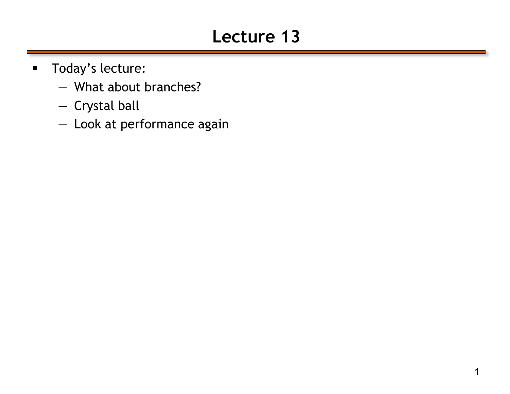## **Lecture 13**

- **Today's lecture:** 
	- What about branches?
	- Crystal ball
	- Look at performance again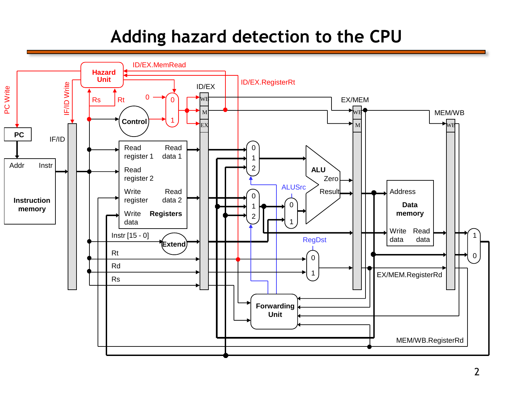## **Adding hazard detection to the CPU**

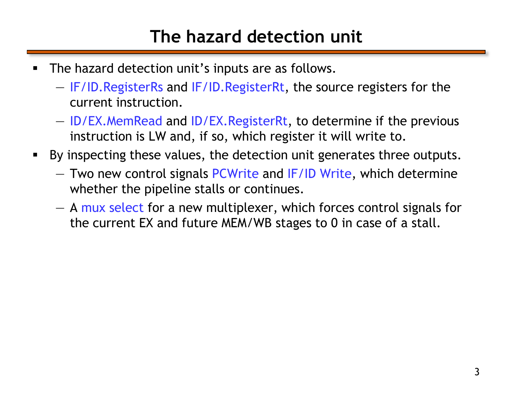## **The hazard detection unit**

- **The hazard detection unit's inputs are as follows.** 
	- IF/ID.RegisterRs and IF/ID.RegisterRt, the source registers for the current instruction.
	- ID/EX.MemRead and ID/EX.RegisterRt, to determine if the previous instruction is LW and, if so, which register it will write to.
- By inspecting these values, the detection unit generates three outputs.
	- Two new control signals PCWrite and IF/ID Write, which determine whether the pipeline stalls or continues.
	- A mux select for a new multiplexer, which forces control signals for the current EX and future MEM/WB stages to 0 in case of a stall.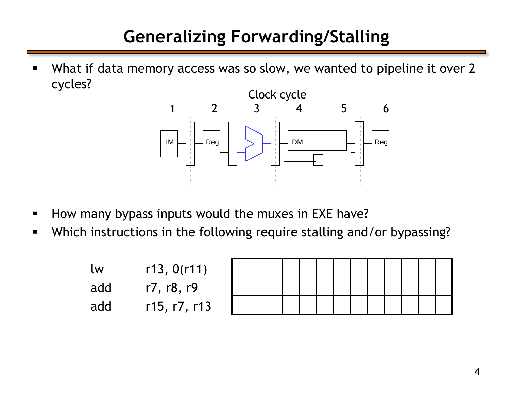## **Generalizing Forwarding/Stalling**

 What if data memory access was so slow, we wanted to pipeline it over 2 cycles?



- How many bypass inputs would the muxes in EXE have?
- Which instructions in the following require stalling and/or bypassing?

| <u>lw</u> | r13, 0(r11)  |
|-----------|--------------|
| add       | r7, r8, r9   |
| add       | r15, r7, r13 |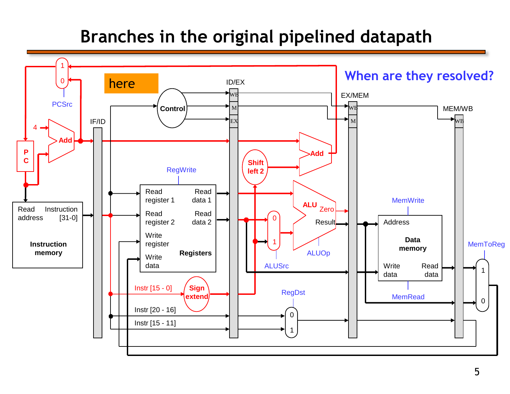### **Branches in the original pipelined datapath**

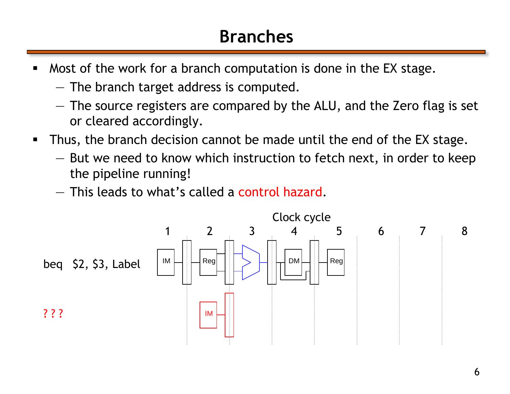## **Branches**

- **Most of the work for a branch computation is done in the EX stage.** 
	- The branch target address is computed.
	- The source registers are compared by the ALU, and the Zero flag is set or cleared accordingly.
- Thus, the branch decision cannot be made until the end of the EX stage.
	- But we need to know which instruction to fetch next, in order to keep the pipeline running!
	- This leads to what's called a control hazard.

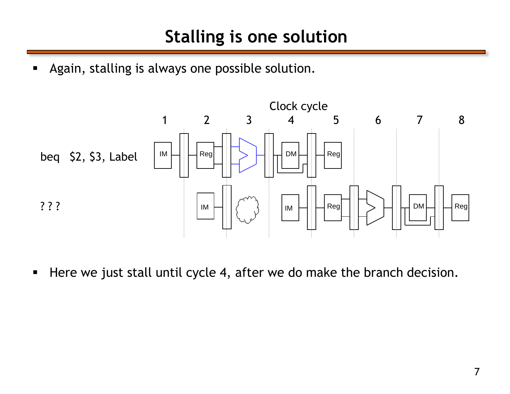**Again, stalling is always one possible solution.** 



Here we just stall until cycle 4, after we do make the branch decision.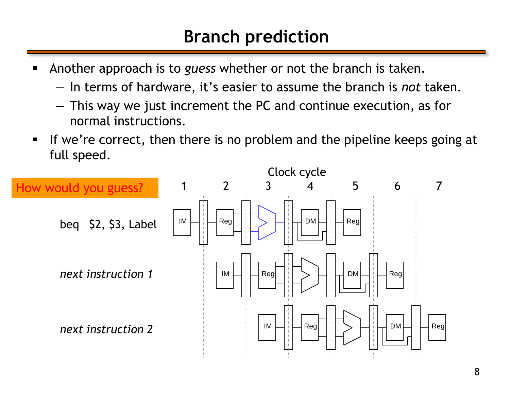### **Branch prediction**

- Another approach is to *guess* whether or not the branch is taken.
	- In terms of hardware, it's easier to assume the branch is *not* taken.
	- This way we just increment the PC and continue execution, as for normal instructions.
- If we're correct, then there is no problem and the pipeline keeps going at full speed.

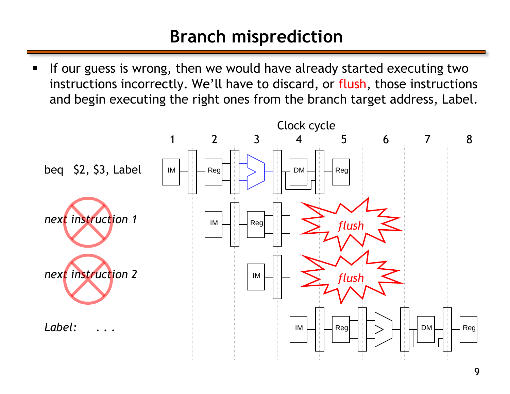## **Branch misprediction**

If our guess is wrong, then we would have already started executing two instructions incorrectly. We'll have to discard, or flush, those instructions and begin executing the right ones from the branch target address, Label.

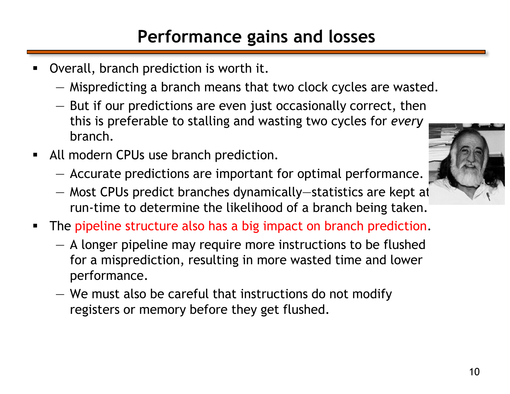## **Performance gains and losses**

- Overall, branch prediction is worth it.
	- Mispredicting a branch means that two clock cycles are wasted.
	- But if our predictions are even just occasionally correct, then this is preferable to stalling and wasting two cycles for *every* branch.
- **All modern CPUs use branch prediction.** 
	- Accurate predictions are important for optimal performance.
	- Most CPUs predict branches dynamically—statistics are kept at run-time to determine the likelihood of a branch being taken.
- **The pipeline structure also has a big impact on branch prediction.** 
	- A longer pipeline may require more instructions to be flushed for a misprediction, resulting in more wasted time and lower performance.
	- We must also be careful that instructions do not modify registers or memory before they get flushed.

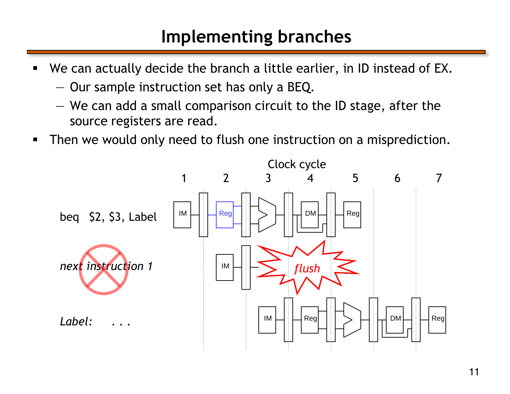#### **Implementing branches**

- We can actually decide the branch a little earlier, in ID instead of EX.
	- Our sample instruction set has only a BEQ.
	- We can add a small comparison circuit to the ID stage, after the source registers are read.
- **Then we would only need to flush one instruction on a misprediction.**

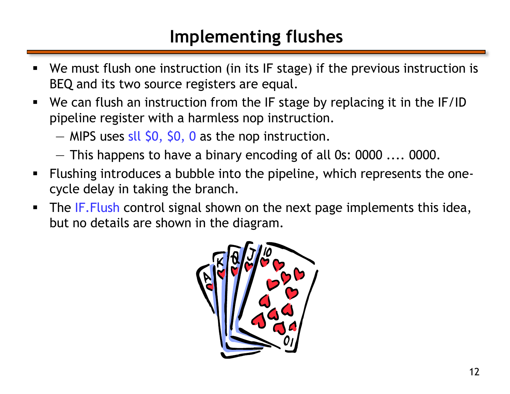## **Implementing flushes**

- We must flush one instruction (in its IF stage) if the previous instruction is BEQ and its two source registers are equal.
- We can flush an instruction from the IF stage by replacing it in the IF/ID pipeline register with a harmless nop instruction.
	- $-$  MIPS uses sll \$0, \$0, 0 as the nop instruction.
	- This happens to have a binary encoding of all 0s: 0000 .... 0000.
- Flushing introduces a bubble into the pipeline, which represents the onecycle delay in taking the branch.
- The IF. Flush control signal shown on the next page implements this idea, but no details are shown in the diagram.

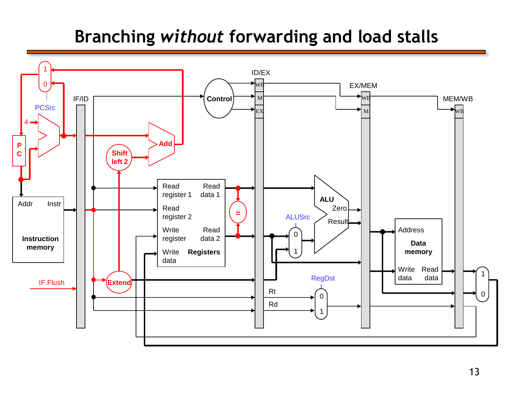## **Branching** *without* **forwarding and load stalls**

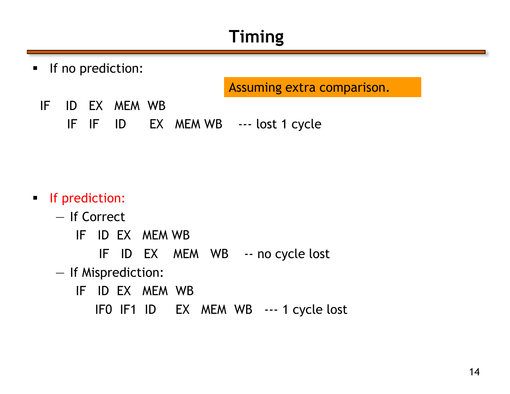## **Timing**

**If no prediction:** 

Assuming extra comparison.

- IF ID EX MEM WB
	- IF IF ID EX MEM WB --- lost 1 cycle

#### **If prediction:**

- If Correct
	- IF ID EX MEM WB
		- IF ID EX MEM WB -- no cycle lost
- If Misprediction:
	- IF ID EX MEM WB
		- IF0 IF1 ID EX MEM WB --- 1 cycle lost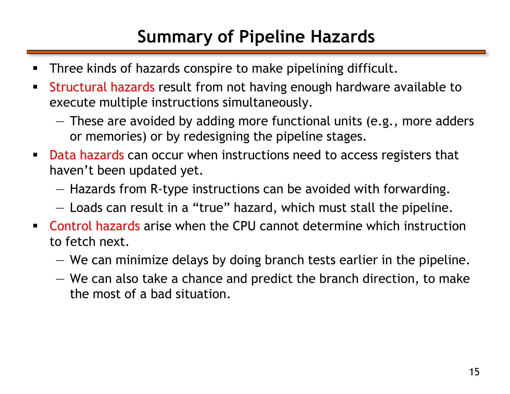## **Summary of Pipeline Hazards**

- **Three kinds of hazards conspire to make pipelining difficult.**
- **Structural hazards result from not having enough hardware available to** execute multiple instructions simultaneously.
	- These are avoided by adding more functional units (e.g., more adders or memories) or by redesigning the pipeline stages.
- **Data hazards can occur when instructions need to access registers that** haven't been updated yet.
	- Hazards from R-type instructions can be avoided with forwarding.
	- Loads can result in a "true" hazard, which must stall the pipeline.
- Control hazards arise when the CPU cannot determine which instruction to fetch next.
	- We can minimize delays by doing branch tests earlier in the pipeline.
	- We can also take a chance and predict the branch direction, to make the most of a bad situation.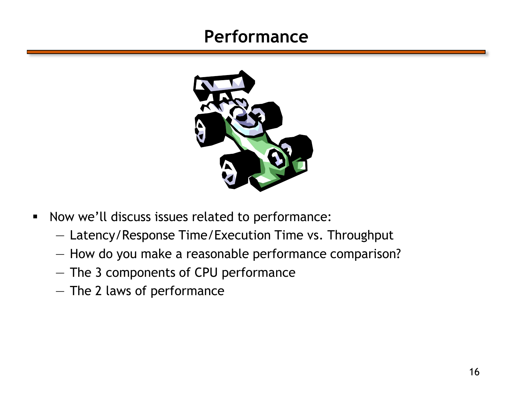#### **Performance**



- **Now we'll discuss issues related to performance:** 
	- Latency/Response Time/Execution Time vs. Throughput
	- How do you make a reasonable performance comparison?
	- The 3 components of CPU performance
	- The 2 laws of performance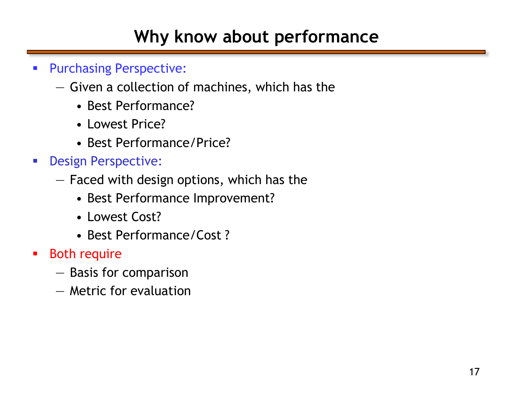## **Why know about performance**

- **Purchasing Perspective:** 
	- Given a collection of machines, which has the
		- Best Performance?
		- Lowest Price?
		- Best Performance/Price?
- **Design Perspective:** 
	- Faced with design options, which has the
		- Best Performance Improvement?
		- Lowest Cost?
		- Best Performance/Cost ?
- **Both require** 
	- Basis for comparison
	- Metric for evaluation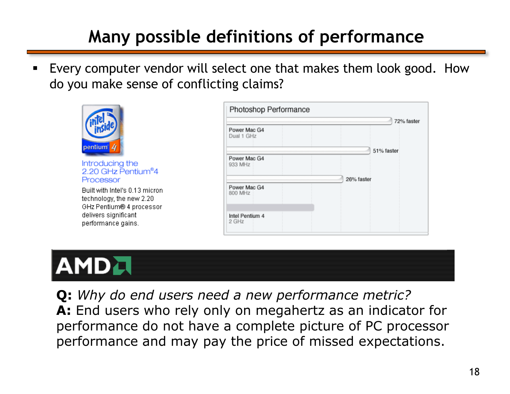## **Many possible definitions of performance**

 Every computer vendor will select one that makes them look good. How do you make sense of conflicting claims?



Introducing the 2.20 GHz Pentium<sup>®</sup>4 Processor

Built with Intel's 0.13 micron technology, the new 2.20 GHz Pentium® 4 processor delivers significant performance gains.

|                            | 72% faster |
|----------------------------|------------|
| Power Mac G4<br>Dual 1 GHz |            |
|                            | 51% faster |
| Power Mac G4<br>933 MHz    |            |
|                            | 26% faster |
| Power Mac G4<br>800 MHz    |            |
| Intel Pentium 4            |            |



**Q:** *Why do end users need a new performance metric?* **A:** End users who rely only on megahertz as an indicator for performance do not have a complete picture of PC processor performance and may pay the price of missed expectations.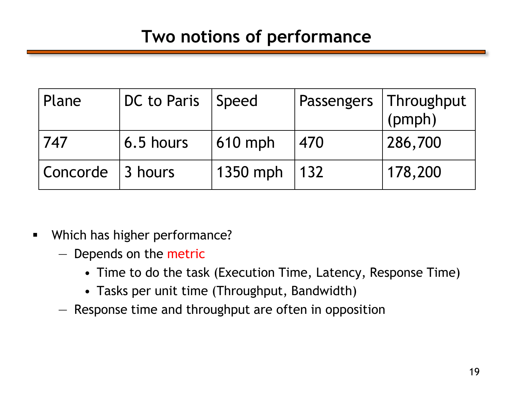#### **Two notions of performance**

| Plane    | DC to Paris | Speed    |     | Passengers   Throughput<br>(pmph) |
|----------|-------------|----------|-----|-----------------------------------|
| 747      | 6.5 hours   | 610 mph  | 470 | 286,700                           |
| Concorde | 13 hours    | 1350 mph | 132 | 178,200                           |

- **Which has higher performance?** 
	- Depends on the metric
		- Time to do the task (Execution Time, Latency, Response Time)
		- Tasks per unit time (Throughput, Bandwidth)
	- Response time and throughput are often in opposition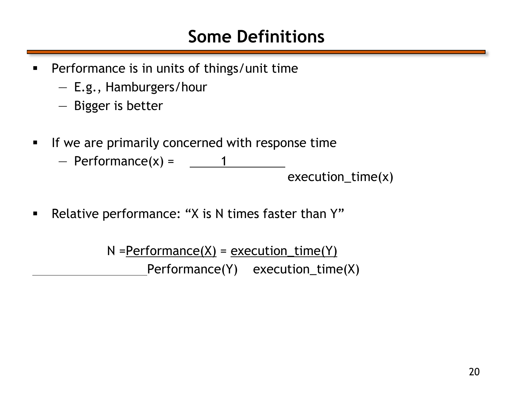#### **Some Definitions**

- **Performance is in units of things/unit time** 
	- E.g., Hamburgers/hour
	- Bigger is better
- **If we are primarily concerned with response time** 
	- $-$  Performance(x) =  $\sqrt{ }$ execution\_time(x)
- **Relative performance: "X is N times faster than Y"**

 $N = Pertormance(X) = execution_time(Y)$ Performance(Y) execution\_time(X)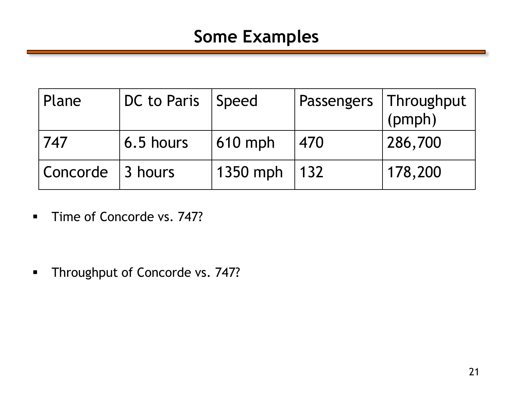#### **Some Examples**

| Plane    | DC to Paris     | Speed    |     | Passengers   Throughput<br>(pmph) |
|----------|-----------------|----------|-----|-----------------------------------|
| 747      | 6.5 hours       | 610 mph  | 470 | 286,700                           |
| Concorde | $\vert$ 3 hours | 1350 mph | 132 | 178,200                           |

**Time of Concorde vs. 747?** 

**Throughput of Concorde vs. 747?**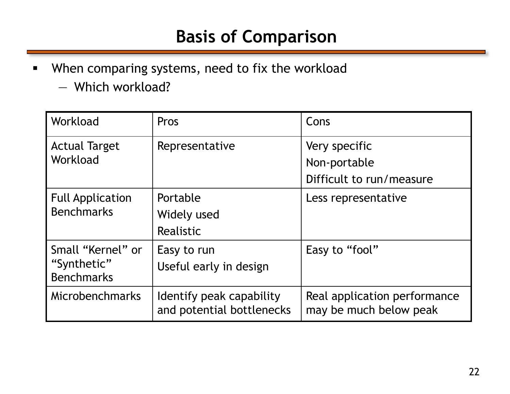### **Basis of Comparison**

- **When comparing systems, need to fix the workload** 
	- Which workload?

| Workload                                                                                       | Pros                                                  | Cons                                                      |
|------------------------------------------------------------------------------------------------|-------------------------------------------------------|-----------------------------------------------------------|
| <b>Actual Target</b><br>Workload                                                               | Representative                                        | Very specific<br>Non-portable<br>Difficult to run/measure |
| <b>Full Application</b><br><b>Benchmarks</b>                                                   | Portable<br>Widely used<br>Realistic                  | Less representative                                       |
| Small "Kernel" or<br>Easy to run<br>"Synthetic"<br>Useful early in design<br><b>Benchmarks</b> |                                                       | Easy to "fool"                                            |
| Microbenchmarks                                                                                | Identify peak capability<br>and potential bottlenecks | Real application performance<br>may be much below peak    |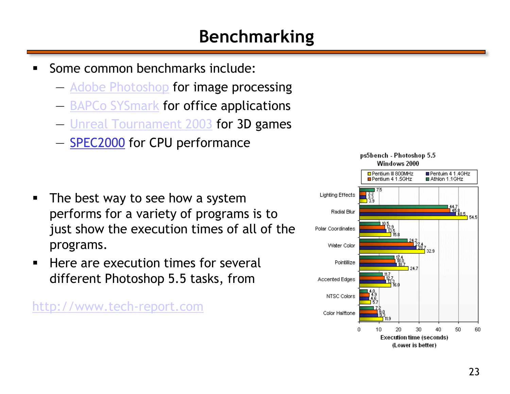## **Benchmarking**

- Some common benchmarks include:
	- [Adobe Photoshop](http://www.adobe.com/products/photoshop/main.html) for image processing
	- [BAPCo SYSmark](http://www.bapco.com/) for office applications
	- [Unreal Tournament 2003](http://www.unrealtournament2003.com/) for 3D games
	- **SPEC2000** for CPU performance

- The best way to see how a system performs for a variety of programs is to just show the execution times of all of the programs.
- Here are execution times for several different Photoshop 5.5 tasks, from

[http://www.tech-report.com](http://www.tech-report.com/)

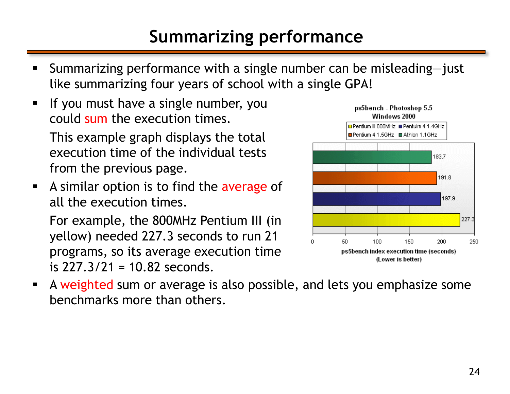## **Summarizing performance**

- Summarizing performance with a single number can be misleading—just like summarizing four years of school with a single GPA!
- **If you must have a single number, you** could sum the execution times.

This example graph displays the total execution time of the individual tests from the previous page.

A similar option is to find the average of all the execution times.

For example, the 800MHz Pentium III (in yellow) needed 227.3 seconds to run 21 programs, so its average execution time is 227.3/21 = 10.82 seconds.



 A weighted sum or average is also possible, and lets you emphasize some benchmarks more than others.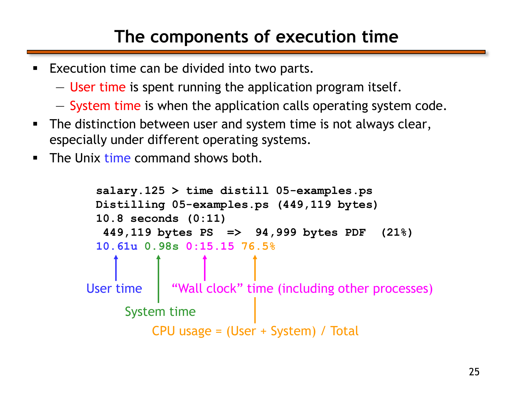## **The components of execution time**

- **Execution time can be divided into two parts.** 
	- User time is spent running the application program itself.
	- System time is when the application calls operating system code.
- **The distinction between user and system time is not always clear,** especially under different operating systems.
- $\blacksquare$  The Unix time command shows both.

```
salary.125 > time distill 05-examples.ps
 Distilling 05-examples.ps (449,119 bytes)
 10.8 seconds (0:11)
  449,119 bytes PS => 94,999 bytes PDF (21%)
 10.61u 0.98s 0:15.15 76.5%
User time
     System time
         CPU usage = (User + System) / Total
            "Wall clock" time (including other processes)
```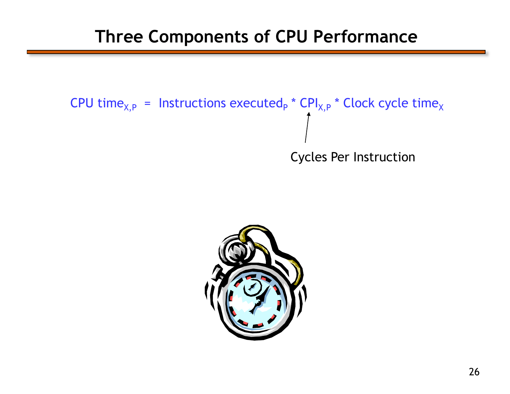#### **Three Components of CPU Performance**



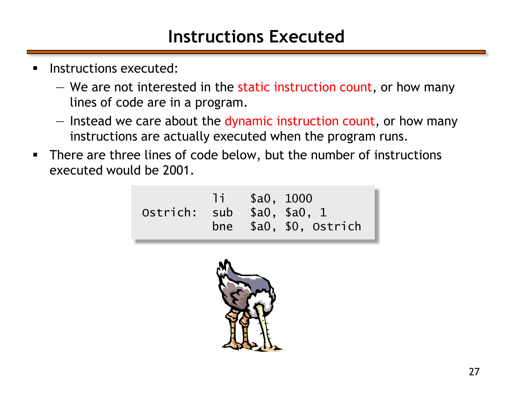#### **Instructions Executed**

- **Instructions executed:** 
	- We are not interested in the static instruction count, or how many lines of code are in a program.
	- Instead we care about the dynamic instruction count, or how many instructions are actually executed when the program runs.
- There are three lines of code below, but the number of instructions executed would be 2001.

li \$a0, 1000 Ostrich: sub \$a0, \$a0, 1 bne \$a0, \$0, Ostrich

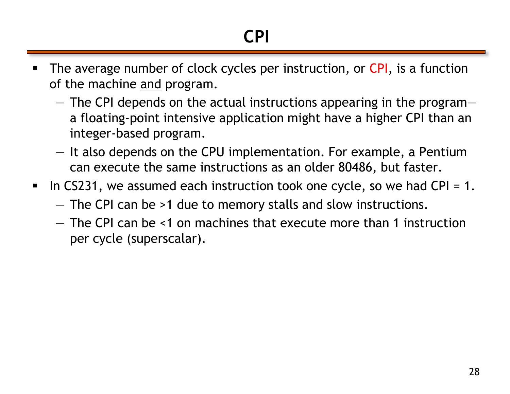- The average number of clock cycles per instruction, or CPI, is a function of the machine and program.
	- The CPI depends on the actual instructions appearing in the program a floating-point intensive application might have a higher CPI than an integer-based program.
	- It also depends on the CPU implementation. For example, a Pentium can execute the same instructions as an older 80486, but faster.
- In CS231, we assumed each instruction took one cycle, so we had CPI = 1.
	- The CPI can be >1 due to memory stalls and slow instructions.
	- The CPI can be *<*1 on machines that execute more than 1 instruction per cycle (superscalar).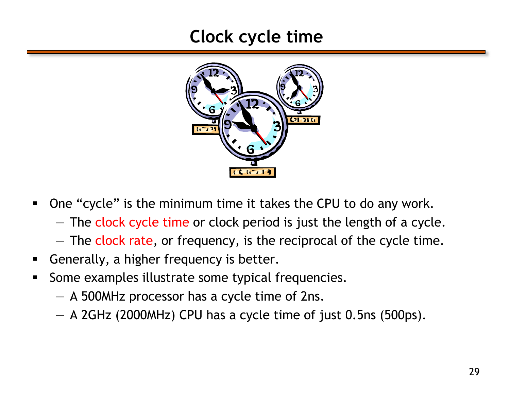#### **Clock cycle time**



- One "cycle" is the minimum time it takes the CPU to do any work.
	- The clock cycle time or clock period is just the length of a cycle.
	- The clock rate, or frequency, is the reciprocal of the cycle time.
- **Generally, a higher frequency is better.**
- Some examples illustrate some typical frequencies.
	- A 500MHz processor has a cycle time of 2ns.
	- A 2GHz (2000MHz) CPU has a cycle time of just 0.5ns (500ps).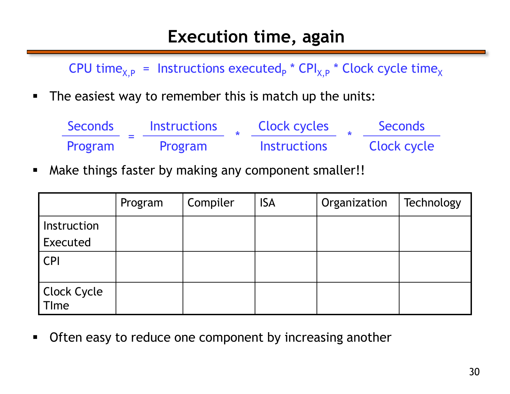#### **Execution time, again**

CPU time<sub>X,P</sub> = Instructions executed<sub>P</sub> \* CPI<sub>X,P</sub> \* Clock cycle time<sub>X</sub>

**The easiest way to remember this is match up the units:** 

| Seconds | <b>Instructions</b> | <b>Clock cycles</b> | <b>Seconds</b> |
|---------|---------------------|---------------------|----------------|
| Program | Program             | <b>Instructions</b> | Clock cycle    |

**• Make things faster by making any component smaller!!** 

|                                    | Program | Compiler | <b>ISA</b> | Organization | Technology |
|------------------------------------|---------|----------|------------|--------------|------------|
| Instruction                        |         |          |            |              |            |
| Executed                           |         |          |            |              |            |
| <b>CPI</b>                         |         |          |            |              |            |
|                                    |         |          |            |              |            |
| <b>Clock Cycle</b><br><b>T</b> Ime |         |          |            |              |            |

**Often easy to reduce one component by increasing another**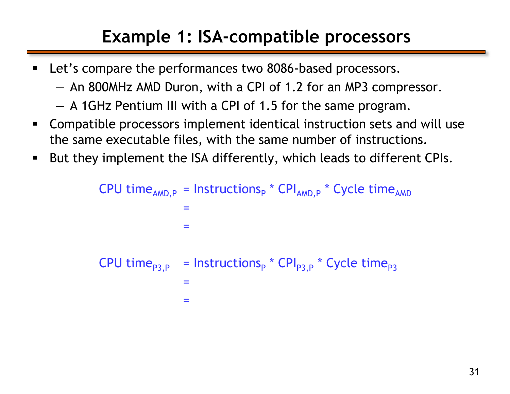## **Example 1: ISA-compatible processors**

- **EXECT:** Let's compare the performances two 8086-based processors.
	- An 800MHz AMD Duron, with a CPI of 1.2 for an MP3 compressor.
	- A 1GHz Pentium III with a CPI of 1.5 for the same program.
- Compatible processors implement identical instruction sets and will use the same executable files, with the same number of instructions.
- But they implement the ISA differently, which leads to different CPIs.

CPU time<sub>AMD,P</sub> = 
$$
I = \frac{1}{2}
$$
  
=
$$
= \frac{1}{2}
$$
  
CPU time<sub>P3,P</sub> = 
$$
I = \frac{1}{2}
$$
  
=
$$
I = \frac{1}{2}
$$
  
=
$$
I = \frac{1}{2}
$$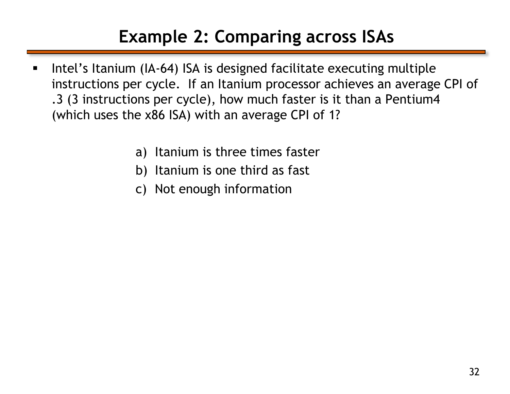## **Example 2: Comparing across ISAs**

- **Intel's Itanium (IA-64) ISA is designed facilitate executing multiple** instructions per cycle. If an Itanium processor achieves an average CPI of .3 (3 instructions per cycle), how much faster is it than a Pentium4 (which uses the x86 ISA) with an average CPI of 1?
	- a) Itanium is three times faster
	- b) Itanium is one third as fast
	- c) Not enough information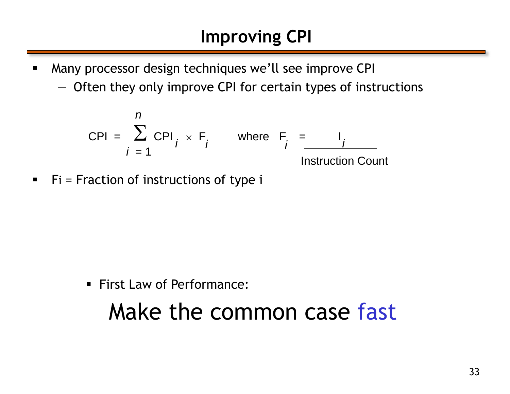- Many processor design techniques we'll see improve CPI
	- Often they only improve CPI for certain types of instructions

$$
CPI = \sum_{i=1}^{n} CPI_i \times F_i \quad \text{where } F_i = \underbrace{I_i}_{\text{Instruction Count}}
$$

 $\blacksquare$  Fi = Fraction of instructions of type i

**First Law of Performance:** 

## Make the common case fast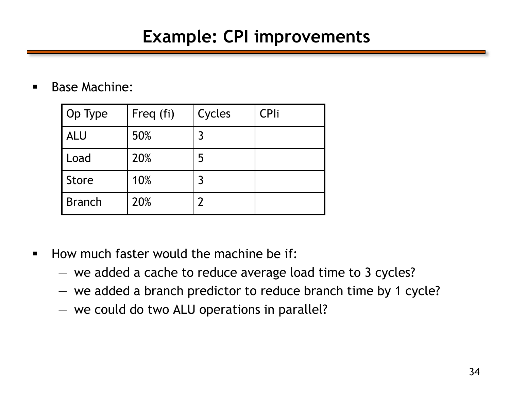#### **Example: CPI improvements**

**Base Machine:** 

| Op Type       | Freq (fi) | Cycles | <b>CPli</b> |
|---------------|-----------|--------|-------------|
| <b>ALU</b>    | 50%       | 3      |             |
| Load          | 20%       | 5      |             |
| <b>Store</b>  | 10%       | 3      |             |
| <b>Branch</b> | 20%       |        |             |

- **How much faster would the machine be if:** 
	- we added a cache to reduce average load time to 3 cycles?
	- we added a branch predictor to reduce branch time by 1 cycle?
	- we could do two ALU operations in parallel?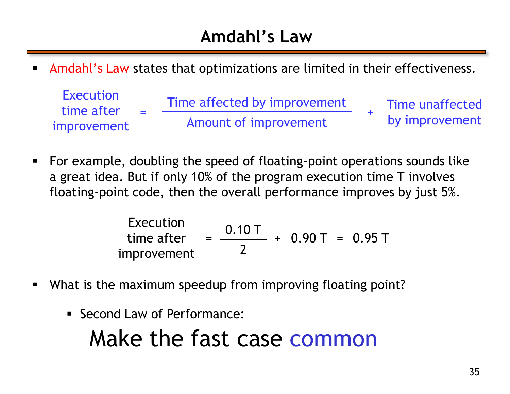### **Amdahl's Law**

Amdahl's Law states that optimizations are limited in their effectiveness.

| Execution<br>time after | $\sim$ | Time affected by improvement | Time unaffected |
|-------------------------|--------|------------------------------|-----------------|
| improvement             |        | Amount of improvement        | by improvement  |

 For example, doubling the speed of floating-point operations sounds like a great idea. But if only 10% of the program execution time T involves floating-point code, then the overall performance improves by just 5%.

Execution  
\ntime after  
\n
$$
= \frac{0.10 \, \text{T}}{2} + 0.90 \, \text{T} = 0.95 \, \text{T}
$$

- What is the maximum speedup from improving floating point?
	- Second Law of Performance:

# Make the fast case common